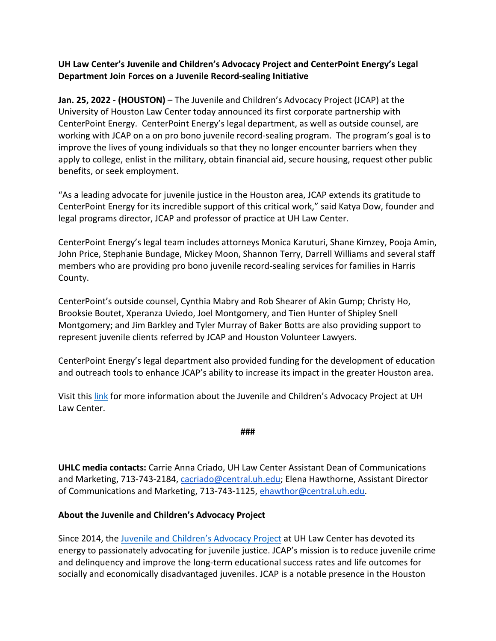## **UH Law Center's Juvenile and Children's Advocacy Project and CenterPoint Energy's Legal Department Join Forces on a Juvenile Record-sealing Initiative**

**Jan. 25, 2022 - (HOUSTON)** – The Juvenile and Children's Advocacy Project (JCAP) at the University of Houston Law Center today announced its first corporate partnership with CenterPoint Energy. CenterPoint Energy's legal department, as well as outside counsel, are working with JCAP on a on pro bono juvenile record-sealing program. The program's goal is to improve the lives of young individuals so that they no longer encounter barriers when they apply to college, enlist in the military, obtain financial aid, secure housing, request other public benefits, or seek employment.

"As a leading advocate for juvenile justice in the Houston area, JCAP extends its gratitude to CenterPoint Energy for its incredible support of this critical work," said Katya Dow, founder and legal programs director, JCAP and professor of practice at UH Law Center.

CenterPoint Energy's legal team includes attorneys Monica Karuturi, Shane Kimzey, Pooja Amin, John Price, Stephanie Bundage, Mickey Moon, Shannon Terry, Darrell Williams and several staff members who are providing pro bono juvenile record-sealing services for families in Harris County.

CenterPoint's outside counsel, Cynthia Mabry and Rob Shearer of Akin Gump; Christy Ho, Brooksie Boutet, Xperanza Uviedo, Joel Montgomery, and Tien Hunter of Shipley Snell Montgomery; and Jim Barkley and Tyler Murray of Baker Botts are also providing support to represent juvenile clients referred by JCAP and Houston Volunteer Lawyers.

CenterPoint Energy's legal department also provided funding for the development of education and outreach tools to enhance JCAP's ability to increase its impact in the greater Houston area.

Visit this [link](https://www.jcaptexas.org/) for more information about the Juvenile and Children's Advocacy Project at UH Law Center.

**###**

**UHLC media contacts:** Carrie Anna Criado, UH Law Center Assistant Dean of Communications and Marketing, 713-743-2184, [cacriado@central.uh.edu;](mailto:cacriado@central.uh.edu) Elena Hawthorne, Assistant Director of Communications and Marketing, 713-743-1125, [ehawthor@central.uh.edu.](mailto:ehawthor@central.uh.edu)

## **About the Juvenile and Children's Advocacy Project**

Since 2014, the [Juvenile and Children's Advocacy Project](https://www.jcaptexas.org/) at UH Law Center has devoted its energy to passionately advocating for juvenile justice. JCAP's mission is to reduce juvenile crime and delinquency and improve the long-term educational success rates and life outcomes for socially and economically disadvantaged juveniles. JCAP is a notable presence in the Houston